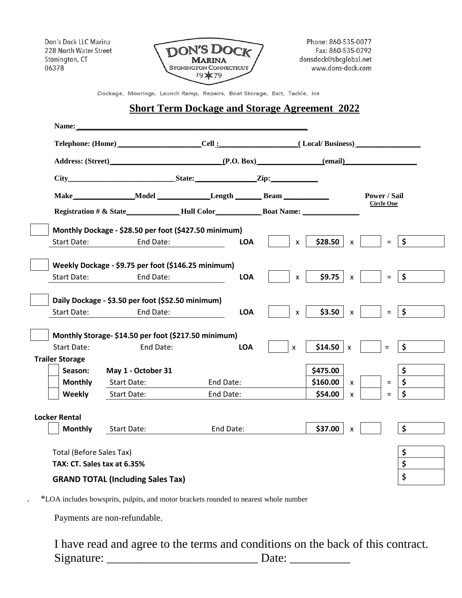Don's Dock LLC Marina 228 North Water Street Stonington, CT 06378



Phone: 860-535-0077 Fax: 860-535-0292 donsdock@sbcqlobal.net www.dons-dock.com

Dockage, Moorings, Launch Ramp, Repairs, Boat Storage, Bait, Tackle, Ice

## **Short Term Dockage and Storage Agreement 2022**

| Name:                                    |                                                       |            |              |          |                                   |  |          |                      |
|------------------------------------------|-------------------------------------------------------|------------|--------------|----------|-----------------------------------|--|----------|----------------------|
| Address: (Street) (P.O. Box) (email)     |                                                       |            |              |          |                                   |  |          |                      |
|                                          |                                                       |            |              |          |                                   |  |          |                      |
|                                          |                                                       |            |              |          |                                   |  |          |                      |
|                                          | Make Model Length Beam                                |            |              |          | Power / Sail<br><b>Circle One</b> |  |          |                      |
|                                          |                                                       |            |              |          |                                   |  |          |                      |
|                                          | Monthly Dockage - \$28.50 per foot (\$427.50 minimum) |            |              |          |                                   |  |          |                      |
| <b>Start Date:</b>                       | End Date:                                             | <b>LOA</b> | $\mathsf{x}$ | \$28.50  | $\mathsf{x}$                      |  | $=$      | $\ddot{\bm{\zeta}}$  |
|                                          | Weekly Dockage - \$9.75 per foot (\$146.25 minimum)   |            |              |          |                                   |  |          |                      |
| <b>Start Date:</b>                       | End Date:                                             | <b>LOA</b> | $\mathsf{x}$ | \$9.75   | $\mathsf{x}$                      |  | $=$      | $\mathsf{S}$         |
|                                          | Daily Dockage - \$3.50 per foot (\$52.50 minimum)     |            |              |          |                                   |  |          |                      |
| Start Date:                              | End Date:                                             | <b>LOA</b> | X            | \$3.50   | $\mathsf{x}$                      |  | $\equiv$ | $\ddot{\bm{\zeta}}$  |
|                                          | Monthly Storage- \$14.50 per foot (\$217.50 minimum)  |            |              |          |                                   |  |          |                      |
| <b>Start Date:</b>                       | End Date:                                             | <b>LOA</b> | $\mathsf{x}$ | \$14.50  | $\mathsf{X}$                      |  | $\equiv$ | $\frac{1}{2}$        |
| <b>Trailer Storage</b>                   |                                                       |            |              |          |                                   |  |          |                      |
| Season:                                  | May 1 - October 31                                    |            |              | \$475.00 |                                   |  |          | \$                   |
| <b>Monthly</b>                           | <b>Start Date:</b>                                    | End Date:  |              | \$160.00 | X                                 |  | $\equiv$ | \$                   |
| Weekly                                   | <b>Start Date:</b>                                    | End Date:  |              | \$54.00  | $\pmb{\times}$                    |  | $=$      | $\boldsymbol{\zeta}$ |
| <b>Locker Rental</b>                     |                                                       |            |              |          |                                   |  |          |                      |
| <b>Monthly</b>                           | Start Date:                                           | End Date:  |              | \$37.00  | X                                 |  |          | $\ddot{\bm{\zeta}}$  |
|                                          |                                                       |            |              |          |                                   |  |          |                      |
|                                          | <b>Total (Before Sales Tax)</b>                       |            |              |          |                                   |  |          | \$                   |
| TAX: CT. Sales tax at 6.35%              |                                                       |            |              |          |                                   |  |          | \$                   |
| <b>GRAND TOTAL (Including Sales Tax)</b> |                                                       |            |              |          |                                   |  | \$       |                      |

. \*LOA includes bowsprits, pulpits, and motor brackets rounded to nearest whole number

Payments are non-refundable.

I have read and agree to the terms and conditions on the back of this contract. Signature: \_\_\_\_\_\_\_\_\_\_\_\_\_\_\_\_\_\_\_\_\_\_\_\_\_ Date: \_\_\_\_\_\_\_\_\_\_